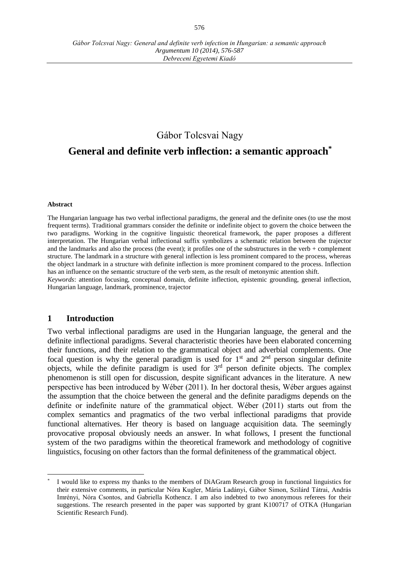# Gábor Tolcsvai Nagy

**General and definite verb inflection: a semantic approach\***

#### **Abstract**

The Hungarian language has two verbal inflectional paradigms, the general and the definite ones (to use the most frequent terms). Traditional grammars consider the definite or indefinite object to govern the choice between the two paradigms. Working in the cognitive linguistic theoretical framework, the paper proposes a different interpretation. The Hungarian verbal inflectional suffix symbolizes a schematic relation between the trajector and the landmarks and also the process (the event); it profiles one of the substructures in the verb + complement structure. The landmark in a structure with general inflection is less prominent compared to the process, whereas the object landmark in a structure with definite inflection is more prominent compared to the process. Inflection has an influence on the semantic structure of the verb stem, as the result of metonymic attention shift.

*Keywords*: attention focusing, conceptual domain, definite inflection, epistemic grounding, general inflection, Hungarian language, landmark, prominence, trajector

## **1 Introduction**

 $\overline{a}$ 

Two verbal inflectional paradigms are used in the Hungarian language, the general and the definite inflectional paradigms. Several characteristic theories have been elaborated concerning their functions, and their relation to the grammatical object and adverbial complements. One focal question is why the general paradigm is used for  $1<sup>st</sup>$  and  $2<sup>nd</sup>$  person singular definite objects, while the definite paradigm is used for 3rd person definite objects. The complex phenomenon is still open for discussion, despite significant advances in the literature. A new perspective has been introduced by Wéber (2011). In her doctoral thesis, Wéber argues against the assumption that the choice between the general and the definite paradigms depends on the definite or indefinite nature of the grammatical object. Wéber (2011) starts out from the complex semantics and pragmatics of the two verbal inflectional paradigms that provide functional alternatives. Her theory is based on language acquisition data. The seemingly provocative proposal obviously needs an answer. In what follows, I present the functional system of the two paradigms within the theoretical framework and methodology of cognitive linguistics, focusing on other factors than the formal definiteness of the grammatical object.

<sup>\*</sup> I would like to express my thanks to the members of DiAGram Research group in functional linguistics for their extensive comments, in particular Nóra Kugler, Mária Ladányi, Gábor Simon, Szilárd Tátrai, András Imrényi, Nóra Csontos, and Gabriella Kothencz. I am also indebted to two anonymous referees for their suggestions. The research presented in the paper was supported by grant K100717 of OTKA (Hungarian Scientific Research Fund).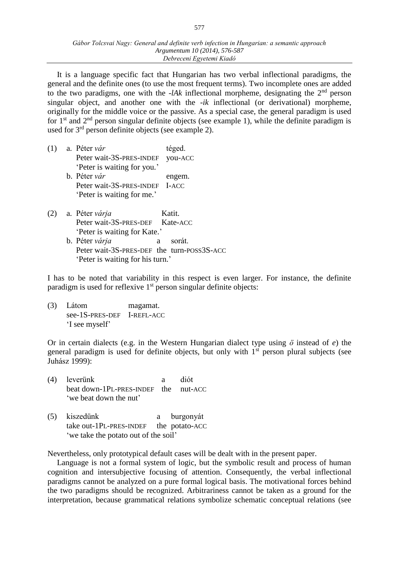It is a language specific fact that Hungarian has two verbal inflectional paradigms, the general and the definite ones (to use the most frequent terms). Two incomplete ones are added to the two paradigms, one with the *-lAk* inflectional morpheme, designating the  $2<sup>nd</sup>$  person singular object, and another one with the *-ik* inflectional (or derivational) morpheme, originally for the middle voice or the passive. As a special case, the general paradigm is used for 1st and 2nd person singular definite objects (see example 1), while the definite paradigm is used for 3<sup>rd</sup> person definite objects (see example 2).

| (1) | a. Péter vár                   | téged.  |
|-----|--------------------------------|---------|
|     | Peter wait-3S-PRES-INDEF       | you-ACC |
|     | 'Peter is waiting for you.'    |         |
|     | b. Péter vár                   | engem.  |
|     | Peter wait-3S-PRES-INDEF I-ACC |         |
|     | 'Peter is waiting for me.'     |         |

(2) a. Péter *várja* Katit. Peter wait-3S-PRES-DEF Kate-ACC 'Peter is waiting for Kate.' b. Péter *várja* a sorát. Peter wait-3S-PRES-DEF the turn-POSS3S-ACC 'Peter is waiting for his turn.'

I has to be noted that variability in this respect is even larger. For instance, the definite paradigm is used for reflexive  $1<sup>st</sup>$  person singular definite objects:

(3) Látom magamat. see-1S-PRES-DEF I-REFL-ACC 'I see myself'

Or in certain dialects (e.g. in the Western Hungarian dialect type using *ö* instead of *e*) the general paradigm is used for definite objects, but only with  $1<sup>st</sup>$  person plural subjects (see Juhász 1999):

- (4) leverünk a diót beat down-1PL-PRES-INDEF the nut-ACC 'we beat down the nut'
- (5) kiszedünk a burgonyát take out-1PL-PRES-INDEF the potato-ACC 'we take the potato out of the soil'

Nevertheless, only prototypical default cases will be dealt with in the present paper.

Language is not a formal system of logic, but the symbolic result and process of human cognition and intersubjective focusing of attention. Consequently, the verbal inflectional paradigms cannot be analyzed on a pure formal logical basis. The motivational forces behind the two paradigms should be recognized. Arbitrariness cannot be taken as a ground for the interpretation, because grammatical relations symbolize schematic conceptual relations (see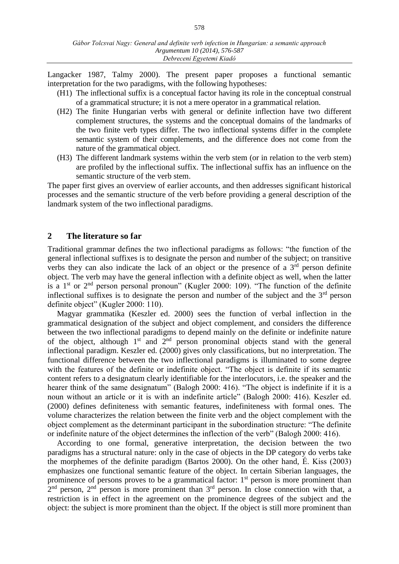Langacker 1987, Talmy 2000). The present paper proposes a functional semantic interpretation for the two paradigms, with the following hypotheses:

- (H1) The inflectional suffix is a conceptual factor having its role in the conceptual construal of a grammatical structure; it is not a mere operator in a grammatical relation.
- (H2) The finite Hungarian verbs with general or definite inflection have two different complement structures, the systems and the conceptual domains of the landmarks of the two finite verb types differ. The two inflectional systems differ in the complete semantic system of their complements, and the difference does not come from the nature of the grammatical object.
- (H3) The different landmark systems within the verb stem (or in relation to the verb stem) are profiled by the inflectional suffix. The inflectional suffix has an influence on the semantic structure of the verb stem.

The paper first gives an overview of earlier accounts, and then addresses significant historical processes and the semantic structure of the verb before providing a general description of the landmark system of the two inflectional paradigms.

### **2 The literature so far**

Traditional grammar defines the two inflectional paradigms as follows: "the function of the general inflectional suffixes is to designate the person and number of the subject; on transitive verbs they can also indicate the lack of an object or the presence of a  $3<sup>rd</sup>$  person definite object. The verb may have the general inflection with a definite object as well, when the latter is a  $1<sup>st</sup>$  or  $2<sup>nd</sup>$  person personal pronoun" (Kugler 2000: 109). "The function of the definite inflectional suffixes is to designate the person and number of the subject and the  $3<sup>rd</sup>$  person definite object" (Kugler 2000: 110).

Magyar grammatika (Keszler ed. 2000) sees the function of verbal inflection in the grammatical designation of the subject and object complement, and considers the difference between the two inflectional paradigms to depend mainly on the definite or indefinite nature of the object, although  $1<sup>st</sup>$  and  $2<sup>nd</sup>$  person pronominal objects stand with the general inflectional paradigm. Keszler ed. (2000) gives only classifications, but no interpretation. The functional difference between the two inflectional paradigms is illuminated to some degree with the features of the definite or indefinite object. "The object is definite if its semantic content refers to a designatum clearly identifiable for the interlocutors, i.e. the speaker and the hearer think of the same designatum" (Balogh 2000: 416). "The object is indefinite if it is a noun without an article or it is with an indefinite article" (Balogh 2000: 416). Keszler ed. (2000) defines definiteness with semantic features, indefiniteness with formal ones. The volume characterizes the relation between the finite verb and the object complement with the object complement as the determinant participant in the subordination structure: "The definite or indefinite nature of the object determines the inflection of the verb" (Balogh 2000: 416).

According to one formal, generative interpretation, the decision between the two paradigms has a structural nature: only in the case of objects in the DP category do verbs take the morphemes of the definite paradigm (Bartos 2000). On the other hand, É. Kiss (2003) emphasizes one functional semantic feature of the object. In certain Siberian languages, the prominence of persons proves to be a grammatical factor:  $1<sup>st</sup>$  person is more prominent than  $2<sup>nd</sup>$  person,  $2<sup>nd</sup>$  person is more prominent than  $3<sup>rd</sup>$  person. In close connection with that, a restriction is in effect in the agreement on the prominence degrees of the subject and the object: the subject is more prominent than the object. If the object is still more prominent than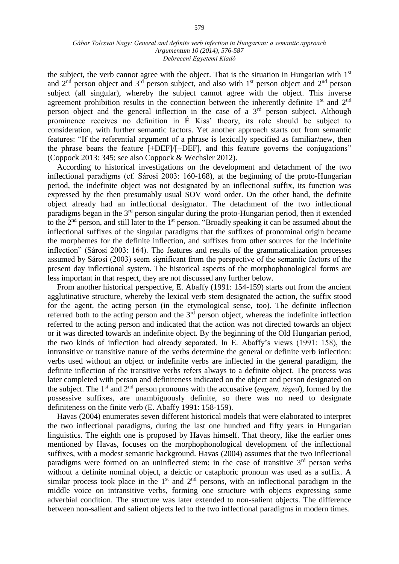the subject, the verb cannot agree with the object. That is the situation in Hungarian with  $1<sup>st</sup>$ and  $2<sup>nd</sup>$  person object and  $3<sup>rd</sup>$  person subject, and also with  $1<sup>st</sup>$  person object and  $2<sup>nd</sup>$  person subject (all singular), whereby the subject cannot agree with the object. This inverse agreement prohibition results in the connection between the inherently definite  $1<sup>st</sup>$  and  $2<sup>nd</sup>$ person object and the general inflection in the case of a  $3<sup>rd</sup>$  person subject. Although prominence receives no definition in É Kiss' theory, its role should be subject to consideration, with further semantic factors. Yet another approach starts out from semantic features: "If the referential argument of a phrase is lexically specified as familiar/new, then the phrase bears the feature [+DEF]/[−DEF], and this feature governs the conjugations" (Coppock 2013: 345; see also Coppock & Wechsler 2012).

According to historical investigations on the development and detachment of the two inflectional paradigms (cf. Sárosi 2003: 160-168), at the beginning of the proto-Hungarian period, the indefinite object was not designated by an inflectional suffix, its function was expressed by the then presumably usual SOV word order. On the other hand, the definite object already had an inflectional designator. The detachment of the two inflectional paradigms began in the  $3<sup>rd</sup>$  person singular during the proto-Hungarian period, then it extended to the 2<sup>nd</sup> person, and still later to the 1<sup>st</sup> person. "Broadly speaking it can be assumed about the inflectional suffixes of the singular paradigms that the suffixes of pronominal origin became the morphemes for the definite inflection, and suffixes from other sources for the indefinite inflection" (Sárosi 2003: 164). The features and results of the grammaticalization processes assumed by Sárosi (2003) seem significant from the perspective of the semantic factors of the present day inflectional system. The historical aspects of the morphophonological forms are less important in that respect, they are not discussed any further below.

From another historical perspective, E. Abaffy (1991: 154-159) starts out from the ancient agglutinative structure, whereby the lexical verb stem designated the action, the suffix stood for the agent, the acting person (in the etymological sense, too). The definite inflection referred both to the acting person and the  $3<sup>rd</sup>$  person object, whereas the indefinite inflection referred to the acting person and indicated that the action was not directed towards an object or it was directed towards an indefinite object. By the beginning of the Old Hungarian period, the two kinds of inflection had already separated. In E. Abaffy's views (1991: 158), the intransitive or transitive nature of the verbs determine the general or definite verb inflection: verbs used without an object or indefinite verbs are inflected in the general paradigm, the definite inflection of the transitive verbs refers always to a definite object. The process was later completed with person and definiteness indicated on the object and person designated on the subject. The 1st and 2nd person pronouns with the accusative (*engem, téged*), formed by the possessive suffixes, are unambiguously definite, so there was no need to designate definiteness on the finite verb (E. Abaffy 1991: 158-159).

Havas (2004) enumerates seven different historical models that were elaborated to interpret the two inflectional paradigms, during the last one hundred and fifty years in Hungarian linguistics. The eighth one is proposed by Havas himself. That theory, like the earlier ones mentioned by Havas, focuses on the morphophonological development of the inflectional suffixes, with a modest semantic background. Havas (2004) assumes that the two inflectional paradigms were formed on an uninflected stem: in the case of transitive  $3<sup>rd</sup>$  person verbs without a definite nominal object, a deictic or cataphoric pronoun was used as a suffix. A similar process took place in the  $1<sup>st</sup>$  and  $2<sup>nd</sup>$  persons, with an inflectional paradigm in the middle voice on intransitive verbs, forming one structure with objects expressing some adverbial condition. The structure was later extended to non-salient objects. The difference between non-salient and salient objects led to the two inflectional paradigms in modern times.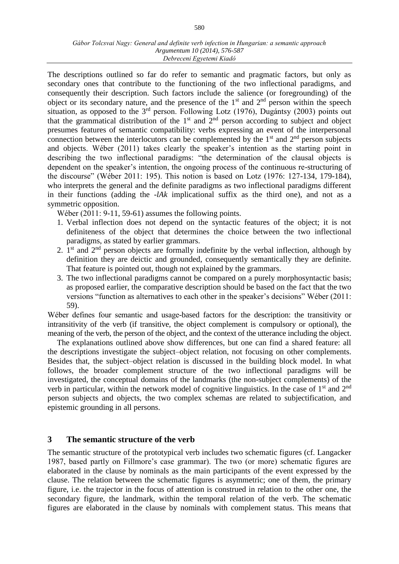The descriptions outlined so far do refer to semantic and pragmatic factors, but only as secondary ones that contribute to the functioning of the two inflectional paradigms, and consequently their description. Such factors include the salience (or foregrounding) of the object or its secondary nature, and the presence of the  $1<sup>st</sup>$  and  $2<sup>nd</sup>$  person within the speech situation, as opposed to the  $3<sup>rd</sup>$  person. Following Lotz (1976), Dugántsy (2003) points out that the grammatical distribution of the  $1<sup>st</sup>$  and  $2<sup>nd</sup>$  person according to subject and object presumes features of semantic compatibility: verbs expressing an event of the interpersonal connection between the interlocutors can be complemented by the  $1<sup>st</sup>$  and  $2<sup>nd</sup>$  person subjects and objects. Wéber (2011) takes clearly the speaker's intention as the starting point in describing the two inflectional paradigms: "the determination of the clausal objects is dependent on the speaker's intention, the ongoing process of the continuous re-structuring of the discourse" (Wéber 2011: 195). This notion is based on Lotz (1976: 127-134, 179-184), who interprets the general and the definite paradigms as two inflectional paradigms different in their functions (adding the -*lAk* implicational suffix as the third one), and not as a symmetric opposition.

Wéber (2011: 9-11, 59-61) assumes the following points.

- 1. Verbal inflection does not depend on the syntactic features of the object; it is not definiteness of the object that determines the choice between the two inflectional paradigms, as stated by earlier grammars.
- 2.  $1<sup>st</sup>$  and  $2<sup>nd</sup>$  person objects are formally indefinite by the verbal inflection, although by definition they are deictic and grounded, consequently semantically they are definite. That feature is pointed out, though not explained by the grammars.
- 3. The two inflectional paradigms cannot be compared on a purely morphosyntactic basis; as proposed earlier, the comparative description should be based on the fact that the two versions "function as alternatives to each other in the speaker's decisions" Wéber (2011: 59).

Wéber defines four semantic and usage-based factors for the description: the transitivity or intransitivity of the verb (if transitive, the object complement is compulsory or optional), the meaning of the verb, the person of the object, and the context of the utterance including the object.

The explanations outlined above show differences, but one can find a shared feature: all the descriptions investigate the subject–object relation, not focusing on other complements. Besides that, the subject–object relation is discussed in the building block model. In what follows, the broader complement structure of the two inflectional paradigms will be investigated, the conceptual domains of the landmarks (the non-subject complements) of the verb in particular, within the network model of cognitive linguistics. In the case of 1st and 2nd person subjects and objects, the two complex schemas are related to subjectification, and epistemic grounding in all persons.

## **3 The semantic structure of the verb**

The semantic structure of the prototypical verb includes two schematic figures (cf. Langacker 1987, based partly on Fillmore's case grammar). The two (or more) schematic figures are elaborated in the clause by nominals as the main participants of the event expressed by the clause. The relation between the schematic figures is asymmetric; one of them, the primary figure, i.e. the trajector in the focus of attention is construed in relation to the other one, the secondary figure, the landmark, within the temporal relation of the verb. The schematic figures are elaborated in the clause by nominals with complement status. This means that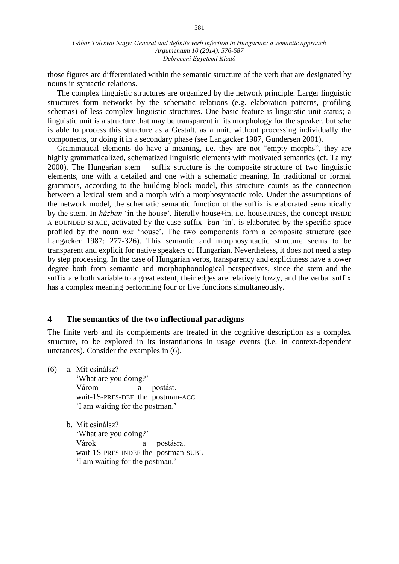those figures are differentiated within the semantic structure of the verb that are designated by nouns in syntactic relations.

The complex linguistic structures are organized by the network principle. Larger linguistic structures form networks by the schematic relations (e.g. elaboration patterns, profiling schemas) of less complex linguistic structures. One basic feature is linguistic unit status; a linguistic unit is a structure that may be transparent in its morphology for the speaker, but s/he is able to process this structure as a Gestalt, as a unit, without processing individually the components, or doing it in a secondary phase (see Langacker 1987, Gundersen 2001).

Grammatical elements do have a meaning, i.e. they are not "empty morphs", they are highly grammaticalized, schematized linguistic elements with motivated semantics (cf. Talmy 2000). The Hungarian stem + suffix structure is the composite structure of two linguistic elements, one with a detailed and one with a schematic meaning. In traditional or formal grammars, according to the building block model, this structure counts as the connection between a lexical stem and a morph with a morphosyntactic role. Under the assumptions of the network model, the schematic semantic function of the suffix is elaborated semantically by the stem. In *házban* 'in the house', literally house+in, i.e. house.INESS, the concept INSIDE A BOUNDED SPACE, activated by the case suffix *-ban* 'in', is elaborated by the specific space profiled by the noun *ház* 'house'. The two components form a composite structure (see Langacker 1987: 277-326). This semantic and morphosyntactic structure seems to be transparent and explicit for native speakers of Hungarian. Nevertheless, it does not need a step by step processing. In the case of Hungarian verbs, transparency and explicitness have a lower degree both from semantic and morphophonological perspectives, since the stem and the suffix are both variable to a great extent, their edges are relatively fuzzy, and the verbal suffix has a complex meaning performing four or five functions simultaneously.

### **4 The semantics of the two inflectional paradigms**

The finite verb and its complements are treated in the cognitive description as a complex structure, to be explored in its instantiations in usage events (i.e. in context-dependent utterances). Consider the examples in (6).

- (6) a. Mit csinálsz? 'What are you doing?' Várom a postást. wait-1S-PRES-DEF the postman-ACC 'I am waiting for the postman.'
	- b. Mit csinálsz?

'What are you doing?' Várok a postásra. wait-1S-PRES-INDEF the postman-SUBL 'I am waiting for the postman.'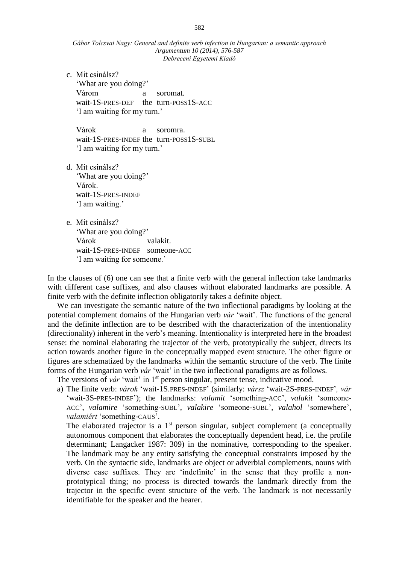c. Mit csinálsz? 'What are you doing?' Várom a soromat. wait-1S-PRES-DEF the turn-POSS1S-ACC 'I am waiting for my turn.'

Várok a soromra. wait-1S-PRES-INDEF the turn-POSS1S-SUBL 'I am waiting for my turn.'

- d. Mit csinálsz? 'What are you doing?' Várok. wait-1S-PRES-INDEF 'I am waiting.'
- e. Mit csinálsz? 'What are you doing?' Várok valakit. wait-1S-PRES-INDEF someone-ACC 'I am waiting for someone.'

In the clauses of (6) one can see that a finite verb with the general inflection take landmarks with different case suffixes, and also clauses without elaborated landmarks are possible. A finite verb with the definite inflection obligatorily takes a definite object.

We can investigate the semantic nature of the two inflectional paradigms by looking at the potential complement domains of the Hungarian verb *vár* 'wait'. The functions of the general and the definite inflection are to be described with the characterization of the intentionality (directionality) inherent in the verb's meaning. Intentionality is interpreted here in the broadest sense: the nominal elaborating the trajector of the verb, prototypically the subject, directs its action towards another figure in the conceptually mapped event structure. The other figure or figures are schematized by the landmarks within the semantic structure of the verb. The finite forms of the Hungarian verb *vár* 'wait' in the two inflectional paradigms are as follows.

The versions of *vár* 'wait' in 1<sup>st</sup> person singular, present tense, indicative mood.

a) The finite verb: *várok* 'wait-1S.PRES-INDEF' (similarly: *vársz* 'wait-2S-PRES-INDEF'*, vár*  'wait-3S-PRES-INDEF'); the landmarks: *valamit* 'something-ACC', *valakit* 'someone-ACC', *valamire* 'something-SUBL', *valakire* 'someone-SUBL', *valahol* 'somewhere', *valamiért* 'something-CAUS'.

The elaborated trajector is a  $1<sup>st</sup>$  person singular, subject complement (a conceptually autonomous component that elaborates the conceptually dependent head, i.e. the profile determinant; Langacker 1987: 309) in the nominative, corresponding to the speaker. The landmark may be any entity satisfying the conceptual constraints imposed by the verb. On the syntactic side, landmarks are object or adverbial complements, nouns with diverse case suffixes. They are 'indefinite' in the sense that they profile a nonprototypical thing; no process is directed towards the landmark directly from the trajector in the specific event structure of the verb. The landmark is not necessarily identifiable for the speaker and the hearer.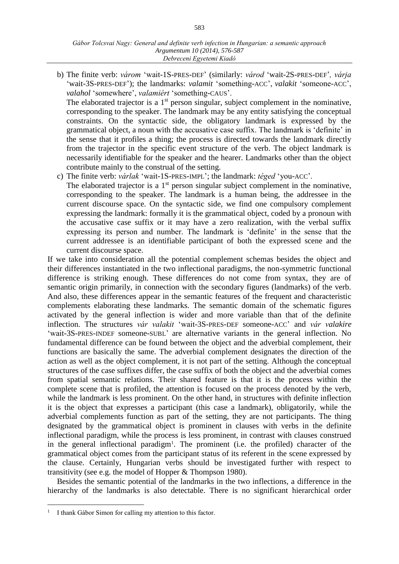b) The finite verb: *várom* 'wait-1S-PRES-DEF' (similarly: *várod* 'wait-2S-PRES-DEF'*, várja*  'wait-3S-PRES-DEF'); the landmarks: *valamit* 'something-ACC', *valakit* 'someone-ACC', *valahol* 'somewhere', *valamiért* 'something-CAUS'.

The elaborated trajector is a  $1<sup>st</sup>$  person singular, subject complement in the nominative, corresponding to the speaker. The landmark may be any entity satisfying the conceptual constraints. On the syntactic side, the obligatory landmark is expressed by the grammatical object, a noun with the accusative case suffix. The landmark is 'definite' in the sense that it profiles a thing; the process is directed towards the landmark directly from the trajector in the specific event structure of the verb. The object landmark is necessarily identifiable for the speaker and the hearer. Landmarks other than the object contribute mainly to the construal of the setting.

c) The finite verb: *várlak* 'wait-1S-PRES-IMPL'; the landmark: *téged* 'you-ACC'.

The elaborated trajector is a  $1<sup>st</sup>$  person singular subject complement in the nominative, corresponding to the speaker. The landmark is a human being, the addressee in the current discourse space. On the syntactic side, we find one compulsory complement expressing the landmark: formally it is the grammatical object, coded by a pronoun with the accusative case suffix or it may have a zero realization, with the verbal suffix expressing its person and number. The landmark is 'definite' in the sense that the current addressee is an identifiable participant of both the expressed scene and the current discourse space.

If we take into consideration all the potential complement schemas besides the object and their differences instantiated in the two inflectional paradigms, the non-symmetric functional difference is striking enough. These differences do not come from syntax, they are of semantic origin primarily, in connection with the secondary figures (landmarks) of the verb. And also, these differences appear in the semantic features of the frequent and characteristic complements elaborating these landmarks. The semantic domain of the schematic figures activated by the general inflection is wider and more variable than that of the definite inflection. The structures *vár valakit* 'wait-3S-PRES-DEF someone-ACC' and *vár valakire* 'wait-3S-PRES-INDEF someone-SUBL' are alternative variants in the general inflection. No fundamental difference can be found between the object and the adverbial complement, their functions are basically the same. The adverbial complement designates the direction of the action as well as the object complement, it is not part of the setting. Although the conceptual structures of the case suffixes differ, the case suffix of both the object and the adverbial comes from spatial semantic relations. Their shared feature is that it is the process within the complete scene that is profiled, the attention is focused on the process denoted by the verb, while the landmark is less prominent. On the other hand, in structures with definite inflection it is the object that expresses a participant (this case a landmark), obligatorily, while the adverbial complements function as part of the setting, they are not participants. The thing designated by the grammatical object is prominent in clauses with verbs in the definite inflectional paradigm, while the process is less prominent, in contrast with clauses construed in the general inflectional paradigm<sup>1</sup>. The prominent (i.e. the profiled) character of the grammatical object comes from the participant status of its referent in the scene expressed by the clause. Certainly, Hungarian verbs should be investigated further with respect to transitivity (see e.g. the model of Hopper & Thompson 1980).

Besides the semantic potential of the landmarks in the two inflections, a difference in the hierarchy of the landmarks is also detectable. There is no significant hierarchical order

 $\overline{a}$ 

<sup>&</sup>lt;sup>1</sup> I thank Gábor Simon for calling my attention to this factor.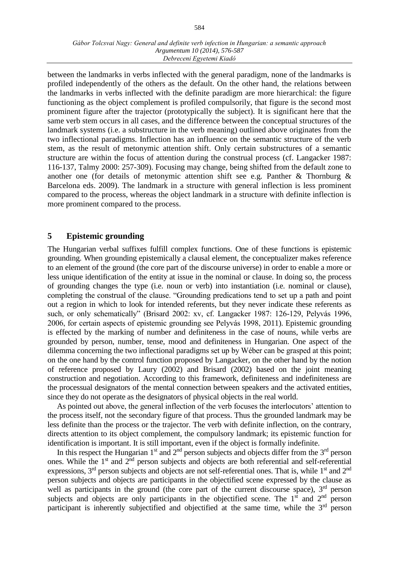between the landmarks in verbs inflected with the general paradigm, none of the landmarks is profiled independently of the others as the default. On the other hand, the relations between the landmarks in verbs inflected with the definite paradigm are more hierarchical: the figure functioning as the object complement is profiled compulsorily, that figure is the second most prominent figure after the trajector (prototypically the subject). It is significant here that the same verb stem occurs in all cases, and the difference between the conceptual structures of the landmark systems (i.e. a substructure in the verb meaning) outlined above originates from the two inflectional paradigms. Inflection has an influence on the semantic structure of the verb stem, as the result of metonymic attention shift. Only certain substructures of a semantic structure are within the focus of attention during the construal process (cf. Langacker 1987: 116-137, Talmy 2000: 257-309). Focusing may change, being shifted from the default zone to another one (for details of metonymic attention shift see e.g. Panther & Thornburg & Barcelona eds. 2009). The landmark in a structure with general inflection is less prominent compared to the process, whereas the object landmark in a structure with definite inflection is more prominent compared to the process.

# **5 Epistemic grounding**

The Hungarian verbal suffixes fulfill complex functions. One of these functions is epistemic grounding. When grounding epistemically a clausal element, the conceptualizer makes reference to an element of the ground (the core part of the discourse universe) in order to enable a more or less unique identification of the entity at issue in the nominal or clause. In doing so, the process of grounding changes the type (i.e. noun or verb) into instantiation (i.e. nominal or clause), completing the construal of the clause. "Grounding predications tend to set up a path and point out a region in which to look for intended referents, but they never indicate these referents as such, or only schematically" (Brisard 2002: xv, cf. Langacker 1987: 126-129, Pelyvás 1996, 2006, for certain aspects of epistemic grounding see Pelyvás 1998, 2011). Epistemic grounding is effected by the marking of number and definiteness in the case of nouns, while verbs are grounded by person, number, tense, mood and definiteness in Hungarian. One aspect of the dilemma concerning the two inflectional paradigms set up by Wéber can be grasped at this point; on the one hand by the control function proposed by Langacker, on the other hand by the notion of reference proposed by Laury (2002) and Brisard (2002) based on the joint meaning construction and negotiation. According to this framework, definiteness and indefiniteness are the processual designators of the mental connection between speakers and the activated entities, since they do not operate as the designators of physical objects in the real world.

As pointed out above, the general inflection of the verb focuses the interlocutors' attention to the process itself, not the secondary figure of that process. Thus the grounded landmark may be less definite than the process or the trajector. The verb with definite inflection, on the contrary, directs attention to its object complement, the compulsory landmark; its epistemic function for identification is important. It is still important, even if the object is formally indefinite.

In this respect the Hungarian  $1<sup>st</sup>$  and  $2<sup>nd</sup>$  person subjects and objects differ from the  $3<sup>rd</sup>$  person ones. While the 1<sup>st</sup> and 2<sup>nd</sup> person subjects and objects are both referential and self-referential expressions,  $3<sup>rd</sup>$  person subjects and objects are not self-referential ones. That is, while  $1<sup>st</sup>$  and  $2<sup>nd</sup>$ person subjects and objects are participants in the objectified scene expressed by the clause as well as participants in the ground (the core part of the current discourse space),  $3<sup>rd</sup>$  person subjects and objects are only participants in the objectified scene. The  $1<sup>st</sup>$  and  $2<sup>nd</sup>$  person participant is inherently subjectified and objectified at the same time, while the  $3<sup>rd</sup>$  person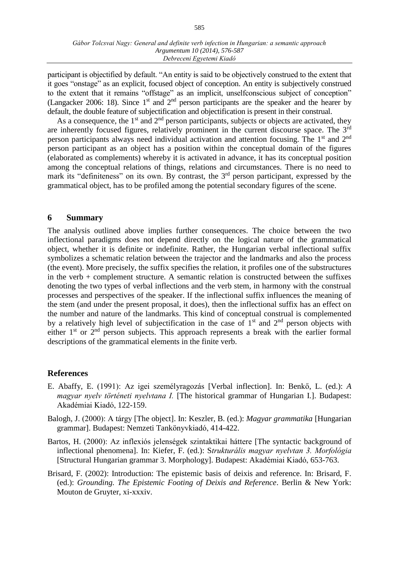participant is objectified by default. "An entity is said to be objectively construed to the extent that it goes "onstage" as an explicit, focused object of conception. An entity is subjectively construed to the extent that it remains "offstage" as an implicit, unselfconscious subject of conception" (Langacker 2006: 18). Since  $1<sup>st</sup>$  and  $2<sup>nd</sup>$  person participants are the speaker and the hearer by default, the double feature of subjectification and objectification is present in their construal.

As a consequence, the  $1<sup>st</sup>$  and  $2<sup>nd</sup>$  person participants, subjects or objects are activated, they are inherently focused figures, relatively prominent in the current discourse space. The 3rd person participants always need individual activation and attention focusing. The 1st and 2nd person participant as an object has a position within the conceptual domain of the figures (elaborated as complements) whereby it is activated in advance, it has its conceptual position among the conceptual relations of things, relations and circumstances. There is no need to mark its "definiteness" on its own. By contrast, the 3<sup>rd</sup> person participant, expressed by the grammatical object, has to be profiled among the potential secondary figures of the scene.

### **6 Summary**

The analysis outlined above implies further consequences. The choice between the two inflectional paradigms does not depend directly on the logical nature of the grammatical object, whether it is definite or indefinite. Rather, the Hungarian verbal inflectional suffix symbolizes a schematic relation between the trajector and the landmarks and also the process (the event). More precisely, the suffix specifies the relation, it profiles one of the substructures in the verb + complement structure. A semantic relation is constructed between the suffixes denoting the two types of verbal inflections and the verb stem, in harmony with the construal processes and perspectives of the speaker. If the inflectional suffix influences the meaning of the stem (and under the present proposal, it does), then the inflectional suffix has an effect on the number and nature of the landmarks. This kind of conceptual construal is complemented by a relatively high level of subjectification in the case of  $1<sup>st</sup>$  and  $2<sup>nd</sup>$  person objects with either  $1<sup>st</sup>$  or  $2<sup>nd</sup>$  person subjects. This approach represents a break with the earlier formal descriptions of the grammatical elements in the finite verb.

## **References**

- E. Abaffy, E. (1991): Az igei személyragozás [Verbal inflection]. In: Benkő, L. (ed.): *A magyar nyelv történeti nyelvtana I.* [The historical grammar of Hungarian I.]. Budapest: Akadémiai Kiadó, 122-159.
- Balogh, J. (2000): A tárgy [The object]. In: Keszler, B. (ed.): *Magyar grammatika* [Hungarian grammar]. Budapest: Nemzeti Tankönyvkiadó, 414-422.
- Bartos, H. (2000): Az inflexiós jelenségek szintaktikai háttere [The syntactic background of inflectional phenomena]. In: Kiefer, F. (ed.): S*trukturális magyar nyelvtan 3. Morfológia* [Structural Hungarian grammar 3. Morphology]. Budapest: Akadémiai Kiadó, 653-763.
- Brisard, F. (2002): Introduction: The epistemic basis of deixis and reference. In: Brisard, F. (ed.): *Grounding. The Epistemic Footing of Deixis and Reference*. Berlin & New York: Mouton de Gruyter, xi-xxxiv.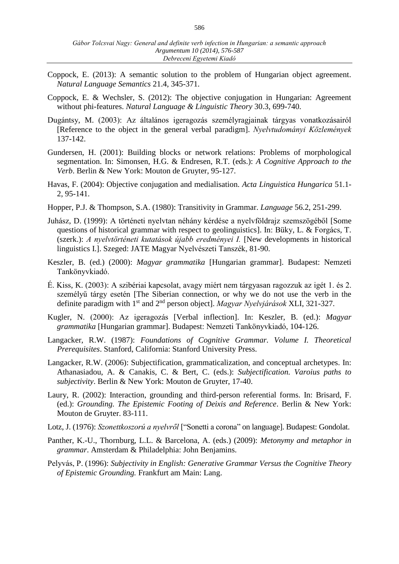- Coppock, E. (2013): A semantic solution to the problem of Hungarian object agreement. *Natural Language Semantics* 21.4, 345-371.
- Coppock, E. & Wechsler, S. (2012): The objective conjugation in Hungarian: Agreement without phi-features. *Natural Language & Linguistic Theory* 30.3, 699-740.
- Dugántsy, M. (2003): Az általános igeragozás személyragjainak tárgyas vonatkozásairól [Reference to the object in the general verbal paradigm]. *Nyelvtudományi Közlemények*  137-142.
- Gundersen, H. (2001): Building blocks or network relations: Problems of morphological segmentation. In: Simonsen, H.G. & Endresen, R.T. (eds.): *A Cognitive Approach to the Verb*. Berlin & New York: Mouton de Gruyter, 95-127.
- Havas, F. (2004): Objective conjugation and medialisation. *Acta Linguistica Hungarica* 51.1- 2, 95-141.
- Hopper, P.J. & Thompson, S.A. (1980): Transitivity in Grammar. *Language* 56.2, 251-299.
- Juhász, D. (1999): A történeti nyelvtan néhány kérdése a nyelvföldrajz szemszögéből [Some questions of historical grammar with respect to geolinguistics]. In: Büky, L. & Forgács, T. (szerk.): *A nyelvtörténeti kutatások újabb eredményei I.* [New developments in historical linguistics I.]. Szeged: JATE Magyar Nyelvészeti Tanszék, 81-90.
- Keszler, B. (ed.) (2000): *Magyar grammatika* [Hungarian grammar]. Budapest: Nemzeti Tankönyvkiadó.
- É. Kiss, K. (2003): A szibériai kapcsolat, avagy miért nem tárgyasan ragozzuk az igét 1. és 2. személyű tárgy esetén [The Siberian connection, or why we do not use the verb in the definite paradigm with 1st and 2nd person object]. *Magyar Nyelvjárások* XLI, 321-327.
- Kugler, N. (2000): Az igeragozás [Verbal inflection]. In: Keszler, B. (ed.): *Magyar grammatika* [Hungarian grammar]. Budapest: Nemzeti Tankönyvkiadó, 104-126.
- Langacker, R.W. (1987): *Foundations of Cognitive Grammar. Volume I. Theoretical Prerequisites*. Stanford, California: Stanford University Press.
- Langacker, R.W. (2006): Subjectification, grammaticalization, and conceptual archetypes. In: Athanasiadou, A. & Canakis, C. & Bert, C. (eds.): *Subjectification. Varoius paths to subjectivity*. Berlin & New York: Mouton de Gruyter, 17-40.
- Laury, R. (2002): Interaction, grounding and third-person referential forms. In: Brisard, F. (ed.): *Grounding. The Epistemic Footing of Deixis and Reference*. Berlin & New York: Mouton de Gruyter. 83-111.
- Lotz, J. (1976): *Szonettkoszorú a nyelvről* ["Sonetti a corona" on language]. Budapest: Gondolat.
- Panther, K.-U., Thornburg, L.L. & Barcelona, A. (eds.) (2009): *Metonymy and metaphor in grammar*. Amsterdam & Philadelphia: John Benjamins.
- Pelyvás, P. (1996): *Subjectivity in English: Generative Grammar Versus the Cognitive Theory of Epistemic Grounding.* Frankfurt am Main: Lang.